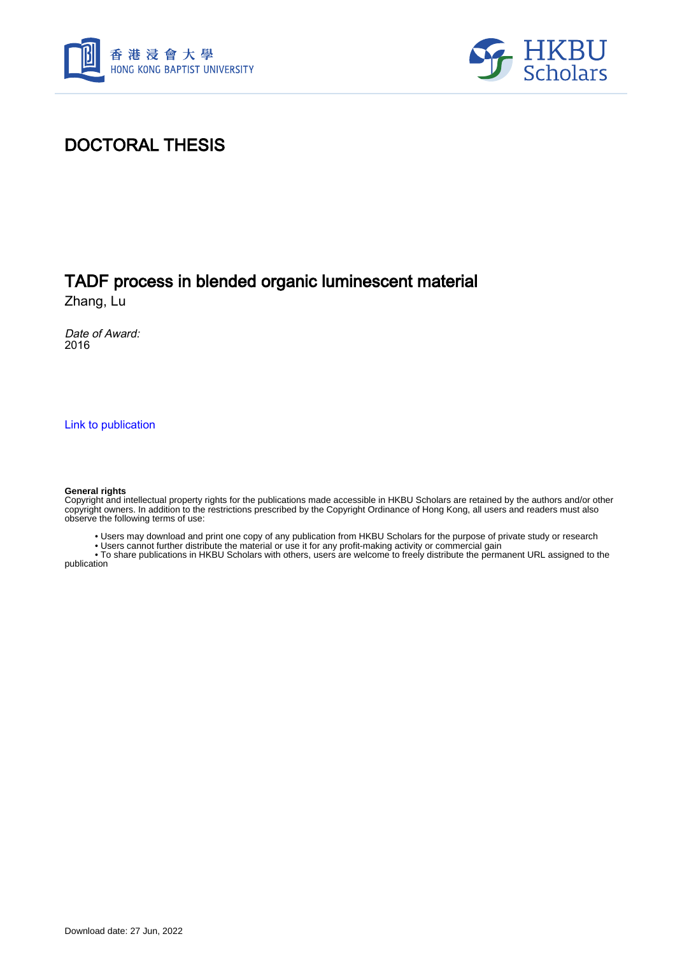



# DOCTORAL THESIS

## TADF process in blended organic luminescent material

Zhang, Lu

Date of Award: 2016

[Link to publication](https://scholars.hkbu.edu.hk/en/studentTheses/a6b0128b-5741-499f-ac3d-4ce6ef34f6ce)

#### **General rights**

Copyright and intellectual property rights for the publications made accessible in HKBU Scholars are retained by the authors and/or other copyright owners. In addition to the restrictions prescribed by the Copyright Ordinance of Hong Kong, all users and readers must also observe the following terms of use:

• Users may download and print one copy of any publication from HKBU Scholars for the purpose of private study or research

• Users cannot further distribute the material or use it for any profit-making activity or commercial gain

 • To share publications in HKBU Scholars with others, users are welcome to freely distribute the permanent URL assigned to the publication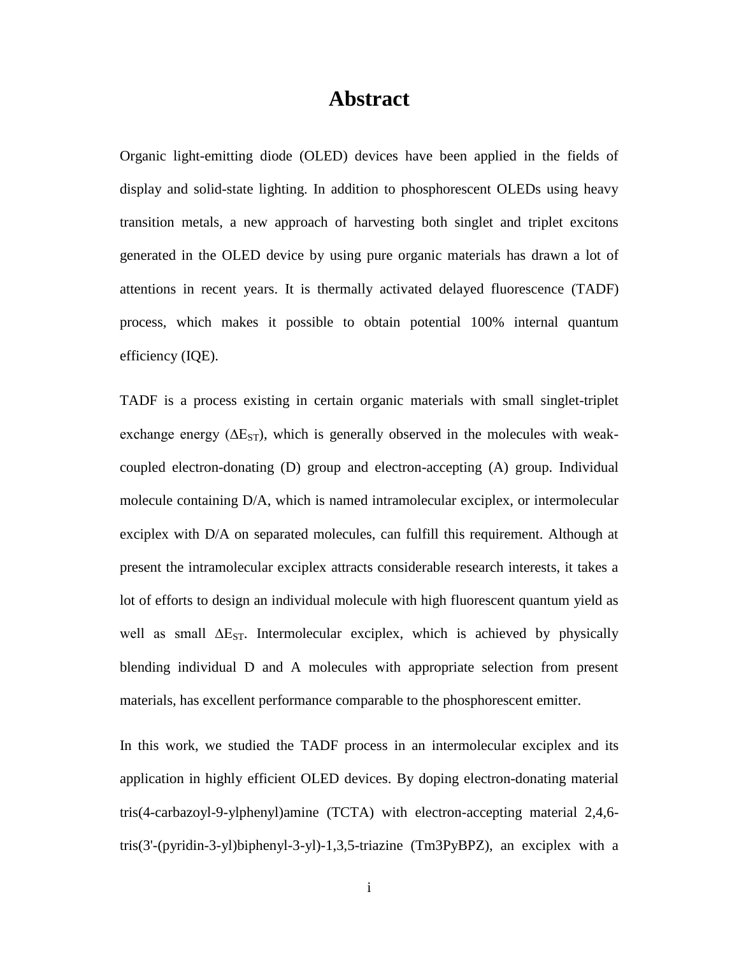### **Abstract**

Organic light-emitting diode (OLED) devices have been applied in the fields of display and solid-state lighting. In addition to phosphorescent OLEDs using heavy transition metals, a new approach of harvesting both singlet and triplet excitons generated in the OLED device by using pure organic materials has drawn a lot of attentions in recent years. It is thermally activated delayed fluorescence (TADF) process, which makes it possible to obtain potential 100% internal quantum efficiency (IQE).

TADF is a process existing in certain organic materials with small singlet-triplet exchange energy ( $\Delta E_{ST}$ ), which is generally observed in the molecules with weakcoupled electron-donating (D) group and electron-accepting (A) group. Individual molecule containing D/A, which is named intramolecular exciplex, or intermolecular exciplex with D/A on separated molecules, can fulfill this requirement. Although at present the intramolecular exciplex attracts considerable research interests, it takes a lot of efforts to design an individual molecule with high fluorescent quantum yield as well as small  $\Delta E_{ST}$ . Intermolecular exciplex, which is achieved by physically blending individual D and A molecules with appropriate selection from present materials, has excellent performance comparable to the phosphorescent emitter.

In this work, we studied the TADF process in an intermolecular exciplex and its application in highly efficient OLED devices. By doping electron-donating material tris(4-carbazoyl-9-ylphenyl)amine (TCTA) with electron-accepting material 2,4,6 tris(3'-(pyridin-3-yl)biphenyl-3-yl)-1,3,5-triazine (Tm3PyBPZ), an exciplex with a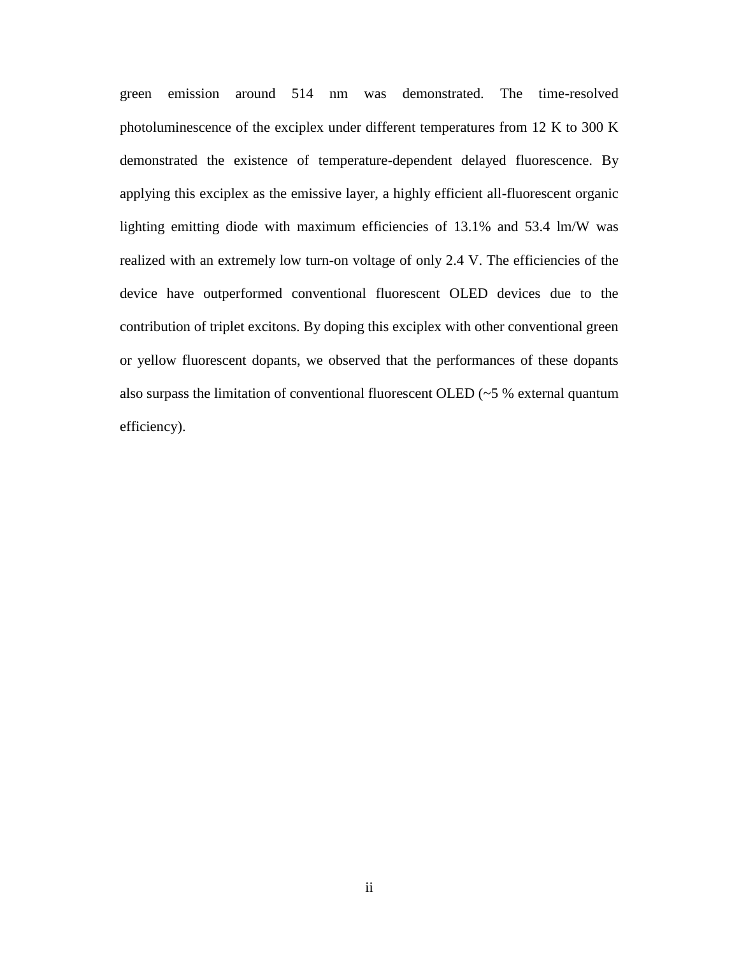green emission around 514 nm was demonstrated. The time-resolved photoluminescence of the exciplex under different temperatures from 12 K to 300 K demonstrated the existence of temperature-dependent delayed fluorescence. By applying this exciplex as the emissive layer, a highly efficient all-fluorescent organic lighting emitting diode with maximum efficiencies of 13.1% and 53.4 lm/W was realized with an extremely low turn-on voltage of only 2.4 V. The efficiencies of the device have outperformed conventional fluorescent OLED devices due to the contribution of triplet excitons. By doping this exciplex with other conventional green or yellow fluorescent dopants, we observed that the performances of these dopants also surpass the limitation of conventional fluorescent OLED (~5 % external quantum efficiency).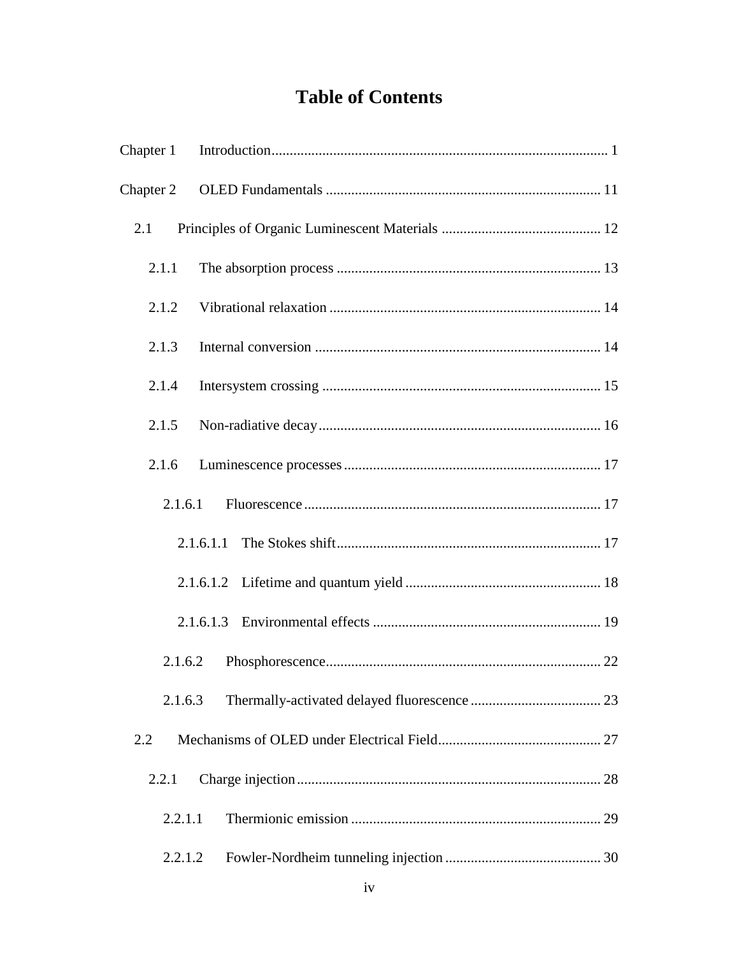# **Table of Contents**

| Chapter 1 |  |
|-----------|--|
| Chapter 2 |  |
| 2.1       |  |
| 2.1.1     |  |
| 2.1.2     |  |
| 2.1.3     |  |
| 2.1.4     |  |
| 2.1.5     |  |
| 2.1.6     |  |
| 2.1.6.1   |  |
|           |  |
|           |  |
|           |  |
| 2.1.6.2   |  |
| 2.1.6.3   |  |
| 2.2       |  |
| 2.2.1     |  |
| 2.2.1.1   |  |
| 2.2.1.2   |  |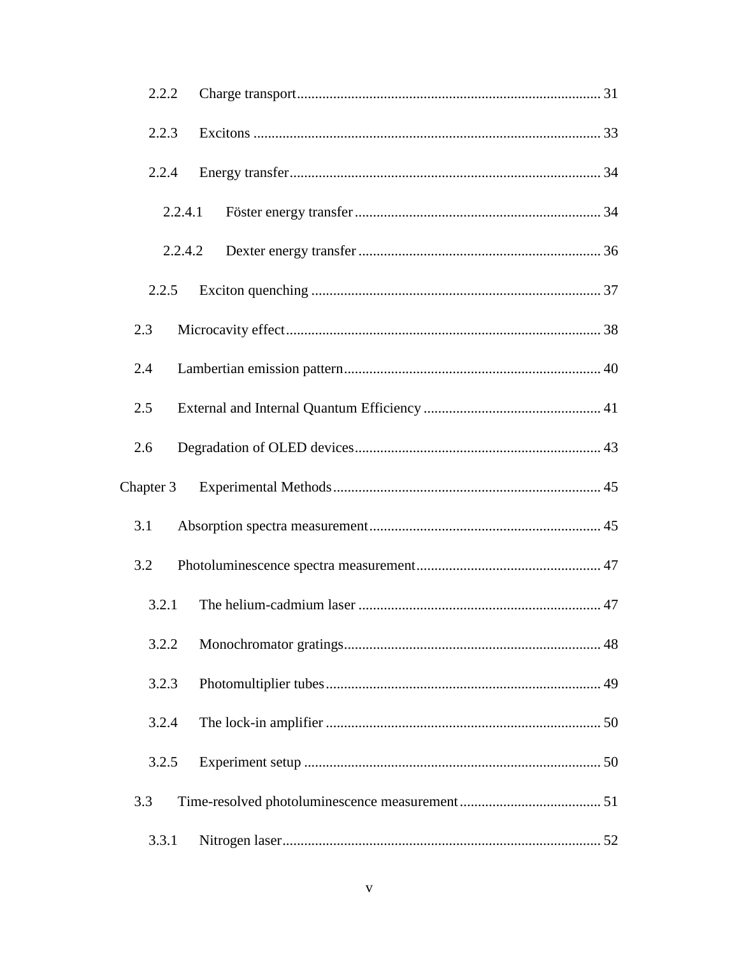| 2.2.2     |         |
|-----------|---------|
| 2.2.3     |         |
| 2.2.4     |         |
|           | 2.2.4.1 |
|           | 2.2.4.2 |
| 2.2.5     |         |
| 2.3       |         |
| 2.4       |         |
| 2.5       |         |
| 2.6       |         |
| Chapter 3 |         |
| 3.1       |         |
| 3.2       |         |
| 3.2.1     |         |
| 3.2.2     |         |
| 3.2.3     |         |
| 3.2.4     |         |
| 3.2.5     |         |
| 3.3       |         |
| 3.3.1     |         |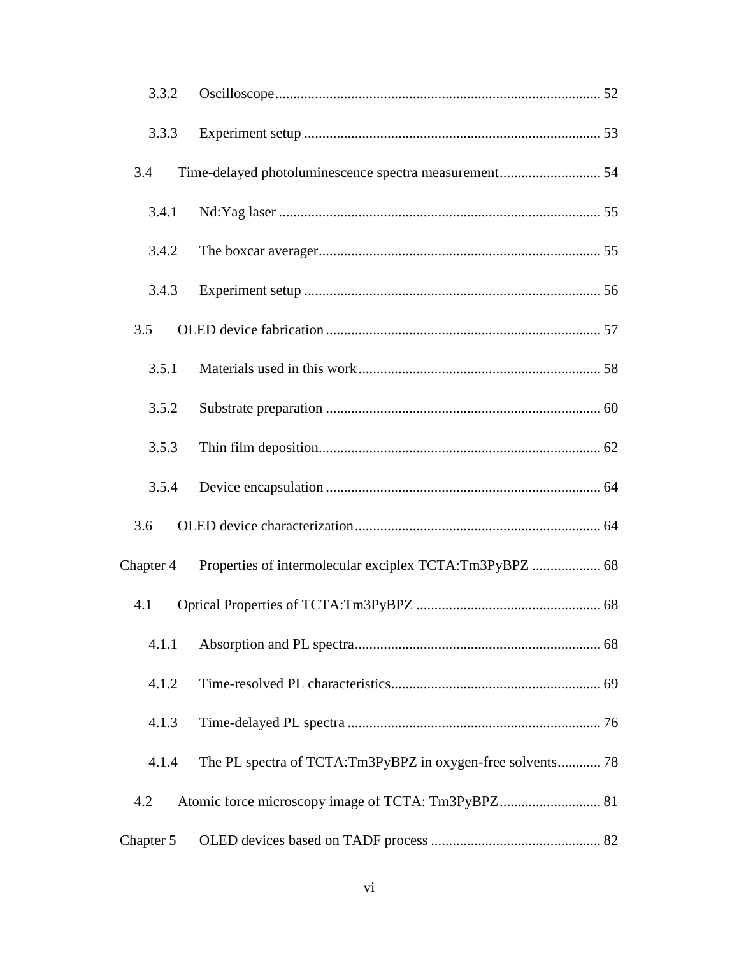| 3.3.2     |                                                            |  |
|-----------|------------------------------------------------------------|--|
| 3.3.3     |                                                            |  |
| 3.4       |                                                            |  |
| 3.4.1     |                                                            |  |
| 3.4.2     |                                                            |  |
| 3.4.3     |                                                            |  |
| 3.5       |                                                            |  |
| 3.5.1     |                                                            |  |
| 3.5.2     |                                                            |  |
| 3.5.3     |                                                            |  |
| 3.5.4     |                                                            |  |
| 3.6       |                                                            |  |
| Chapter 4 |                                                            |  |
| 4.1       |                                                            |  |
| 4.1.1     |                                                            |  |
| 4.1.2     |                                                            |  |
| 4.1.3     |                                                            |  |
| 4.1.4     | The PL spectra of TCTA:Tm3PyBPZ in oxygen-free solvents 78 |  |
| 4.2       |                                                            |  |
| Chapter 5 |                                                            |  |